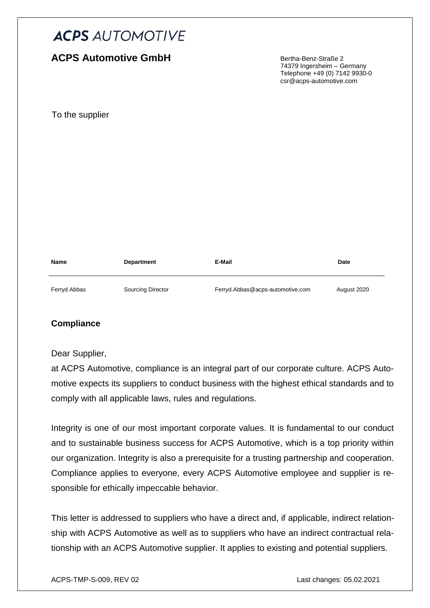# **ACPS Automotive GmbH**

Bertha-Benz-Straße 2 74379 Ingersheim – Germany Telephone +49 (0) 7142 9930-0 csr@acps-automotive.com

To the supplier

| <b>Name</b>  | <b>Department</b>        | E-Mail                           | Date        |
|--------------|--------------------------|----------------------------------|-------------|
| Ferryd Abbas | <b>Sourcing Director</b> | Ferryd.Abbas@acps-automotive.com | August 2020 |

#### **Compliance**

Dear Supplier,

at ACPS Automotive, compliance is an integral part of our corporate culture. ACPS Automotive expects its suppliers to conduct business with the highest ethical standards and to comply with all applicable laws, rules and regulations.

Integrity is one of our most important corporate values. It is fundamental to our conduct and to sustainable business success for ACPS Automotive, which is a top priority within our organization. Integrity is also a prerequisite for a trusting partnership and cooperation. Compliance applies to everyone, every ACPS Automotive employee and supplier is responsible for ethically impeccable behavior.

This letter is addressed to suppliers who have a direct and, if applicable, indirect relationship with ACPS Automotive as well as to suppliers who have an indirect contractual relationship with an ACPS Automotive supplier. It applies to existing and potential suppliers.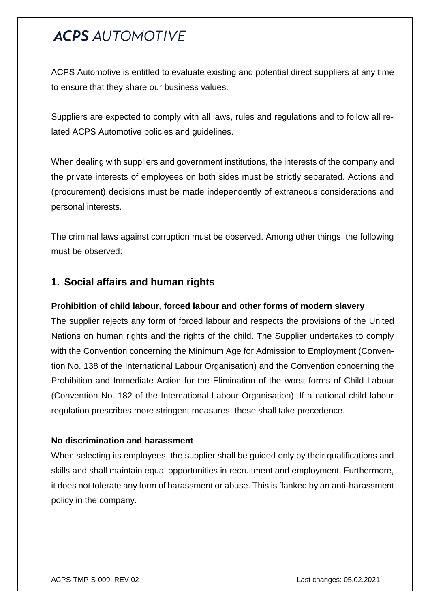ACPS Automotive is entitled to evaluate existing and potential direct suppliers at any time to ensure that they share our business values.

Suppliers are expected to comply with all laws, rules and regulations and to follow all related ACPS Automotive policies and guidelines.

When dealing with suppliers and government institutions, the interests of the company and the private interests of employees on both sides must be strictly separated. Actions and (procurement) decisions must be made independently of extraneous considerations and personal interests.

The criminal laws against corruption must be observed. Among other things, the following must be observed:

## **1. Social affairs and human rights**

#### **Prohibition of child labour, forced labour and other forms of modern slavery**

The supplier rejects any form of forced labour and respects the provisions of the United Nations on human rights and the rights of the child. The Supplier undertakes to comply with the Convention concerning the Minimum Age for Admission to Employment (Convention No. 138 of the International Labour Organisation) and the Convention concerning the Prohibition and Immediate Action for the Elimination of the worst forms of Child Labour (Convention No. 182 of the International Labour Organisation). If a national child labour regulation prescribes more stringent measures, these shall take precedence.

#### **No discrimination and harassment**

When selecting its employees, the supplier shall be guided only by their qualifications and skills and shall maintain equal opportunities in recruitment and employment. Furthermore, it does not tolerate any form of harassment or abuse. This is flanked by an anti-harassment policy in the company.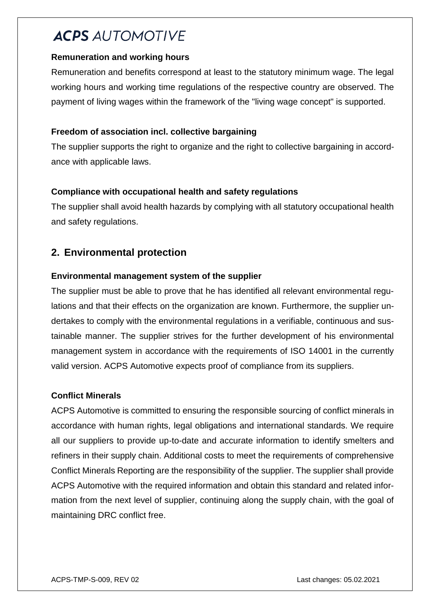#### **Remuneration and working hours**

Remuneration and benefits correspond at least to the statutory minimum wage. The legal working hours and working time regulations of the respective country are observed. The payment of living wages within the framework of the "living wage concept" is supported.

### **Freedom of association incl. collective bargaining**

The supplier supports the right to organize and the right to collective bargaining in accordance with applicable laws.

### **Compliance with occupational health and safety regulations**

The supplier shall avoid health hazards by complying with all statutory occupational health and safety regulations.

# **2. Environmental protection**

### **Environmental management system of the supplier**

The supplier must be able to prove that he has identified all relevant environmental regulations and that their effects on the organization are known. Furthermore, the supplier undertakes to comply with the environmental regulations in a verifiable, continuous and sustainable manner. The supplier strives for the further development of his environmental management system in accordance with the requirements of ISO 14001 in the currently valid version. ACPS Automotive expects proof of compliance from its suppliers.

#### **Conflict Minerals**

ACPS Automotive is committed to ensuring the responsible sourcing of conflict minerals in accordance with human rights, legal obligations and international standards. We require all our suppliers to provide up-to-date and accurate information to identify smelters and refiners in their supply chain. Additional costs to meet the requirements of comprehensive Conflict Minerals Reporting are the responsibility of the supplier. The supplier shall provide ACPS Automotive with the required information and obtain this standard and related information from the next level of supplier, continuing along the supply chain, with the goal of maintaining DRC conflict free.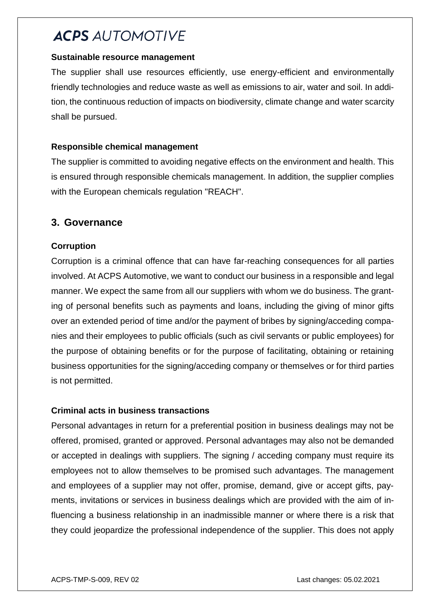#### **Sustainable resource management**

The supplier shall use resources efficiently, use energy-efficient and environmentally friendly technologies and reduce waste as well as emissions to air, water and soil. In addition, the continuous reduction of impacts on biodiversity, climate change and water scarcity shall be pursued.

#### **Responsible chemical management**

The supplier is committed to avoiding negative effects on the environment and health. This is ensured through responsible chemicals management. In addition, the supplier complies with the European chemicals regulation "REACH".

## **3. Governance**

### **Corruption**

Corruption is a criminal offence that can have far-reaching consequences for all parties involved. At ACPS Automotive, we want to conduct our business in a responsible and legal manner. We expect the same from all our suppliers with whom we do business. The granting of personal benefits such as payments and loans, including the giving of minor gifts over an extended period of time and/or the payment of bribes by signing/acceding companies and their employees to public officials (such as civil servants or public employees) for the purpose of obtaining benefits or for the purpose of facilitating, obtaining or retaining business opportunities for the signing/acceding company or themselves or for third parties is not permitted.

#### **Criminal acts in business transactions**

Personal advantages in return for a preferential position in business dealings may not be offered, promised, granted or approved. Personal advantages may also not be demanded or accepted in dealings with suppliers. The signing / acceding company must require its employees not to allow themselves to be promised such advantages. The management and employees of a supplier may not offer, promise, demand, give or accept gifts, payments, invitations or services in business dealings which are provided with the aim of influencing a business relationship in an inadmissible manner or where there is a risk that they could jeopardize the professional independence of the supplier. This does not apply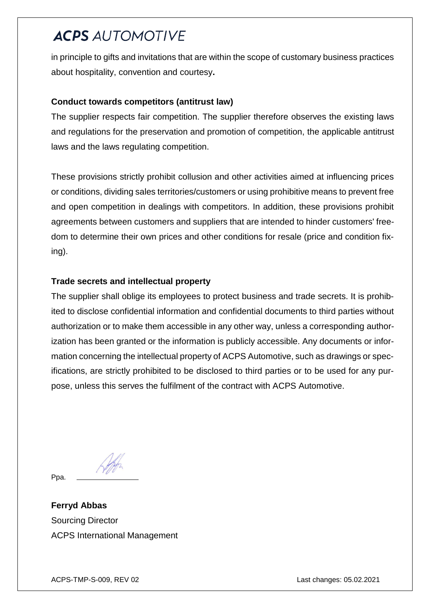in principle to gifts and invitations that are within the scope of customary business practices about hospitality, convention and courtesy**.**

#### **Conduct towards competitors (antitrust law)**

The supplier respects fair competition. The supplier therefore observes the existing laws and regulations for the preservation and promotion of competition, the applicable antitrust laws and the laws regulating competition.

These provisions strictly prohibit collusion and other activities aimed at influencing prices or conditions, dividing sales territories/customers or using prohibitive means to prevent free and open competition in dealings with competitors. In addition, these provisions prohibit agreements between customers and suppliers that are intended to hinder customers' freedom to determine their own prices and other conditions for resale (price and condition fixing).

#### **Trade secrets and intellectual property**

The supplier shall oblige its employees to protect business and trade secrets. It is prohibited to disclose confidential information and confidential documents to third parties without authorization or to make them accessible in any other way, unless a corresponding authorization has been granted or the information is publicly accessible. Any documents or information concerning the intellectual property of ACPS Automotive, such as drawings or specifications, are strictly prohibited to be disclosed to third parties or to be used for any purpose, unless this serves the fulfilment of the contract with ACPS Automotive.

Ppa.

**Ferryd Abbas** Sourcing Director ACPS International Management